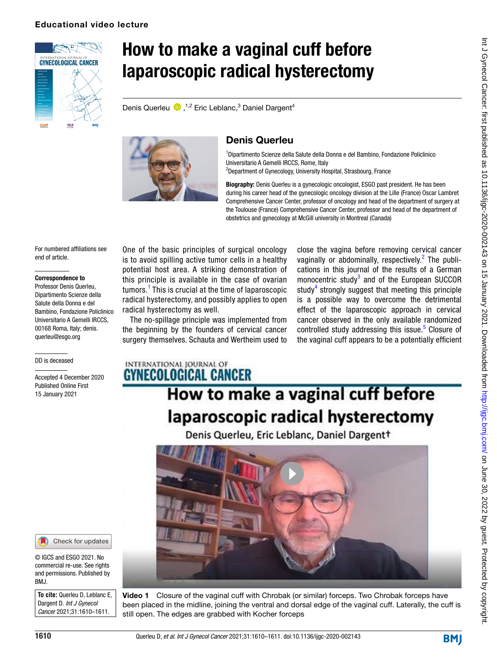

# How to make a vaginal cuff before laparoscopic radical hysterectomy

Denis Querleu <sup>(D)</sup>,<sup>1,2</sup> Eric Leblanc,<sup>3</sup> Daniel Dargent<sup>4</sup>



## Denis Querleu

1 Dipartimento Scienze della Salute della Donna e del Bambino, Fondazione Policlinico Universitario A Gemelli IRCCS, Rome, Italy

<sup>2</sup>Department of Gynecology, University Hospital, Strasbourg, France

Biography: Denis Querleu is a gynecologic oncologist, ESGO past president. He has been during his career head of the gynecologic oncology division at the Lille (France) Oscar Lambret Comprehensive Cancer Center, professor of oncology and head of the department of surgery at the Toulouse (France) Comprehensive Cancer Center, professor and head of the department of obstetrics and gynecology at McGill university in Montreal (Canada)

### For numbered affiliations see end of article.

#### Correspondence to

Professor Denis Querleu, Dipartimento Scienze della Salute della Donna e del Bambino, Fondazione Policlinico Universitario A Gemelli IRCCS, 00168 Roma, Italy; denis. querleu@esgo.org

DD is deceased

Accepted 4 December 2020 Published Online First 15 January 2021

One of the basic principles of surgical oncology is to avoid spilling active tumor cells in a healthy potential host area. A striking demonstration of this principle is available in the case of ovarian tumors.<sup>[1](#page-1-0)</sup> This is crucial at the time of laparoscopic radical hysterectomy, and possibly applies to open radical hysterectomy as well.

The no-spillage principle was implemented from the beginning by the founders of cervical cancer surgery themselves. Schauta and Wertheim used to

close the vagina before removing cervical cancer vaginally or abdominally, respectively.<sup>[2](#page-1-1)</sup> The publications in this journal of the results of a German monocentric study<sup>[3](#page-1-2)</sup> and of the European SUCCOR study<sup>[4](#page-1-3)</sup> strongly suggest that meeting this principle is a possible way to overcome the detrimental effect of the laparoscopic approach in cervical cancer observed in the only available randomized controlled study addressing this issue.<sup>[5](#page-1-4)</sup> Closure of the vaginal cuff appears to be a potentially efficient

## INTERNATIONAL JOURNAL OF **GYNECOLOGICAL CANCER**

# How to make a vaginal cuff before laparoscopic radical hysterectomy

Denis Querleu, Eric Leblanc, Daniel Dargent+



Video 1 Closure of the vaginal cuff with Chrobak (or similar) forceps. Two Chrobak forceps have been placed in the midline, joining the ventral and dorsal edge of the vaginal cuff. Laterally, the cuff is still open. The edges are grabbed with Kocher forceps

**BMJ** 

Check for updates

© IGCS and ESGO 2021. No commercial re-use. See rights and permissions. Published by BMJ.

**To cite:** Querleu D, Leblanc E, Dargent D. *Int J Gynecol Cancer* 2021;31:1610–1611.